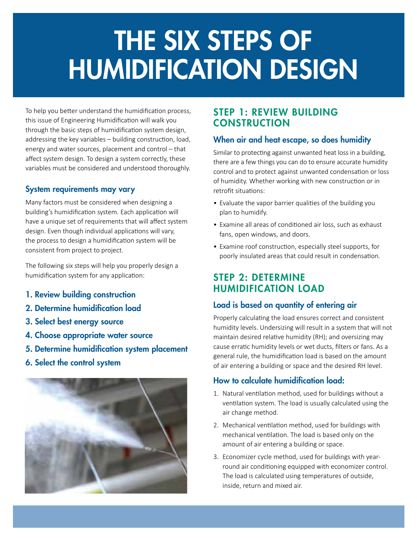# THE SIX STEPS OF HUMIDIFICATION DESIGN

To help you better understand the humidification process, this issue of Engineering Humidification will walk you through the basic steps of humidification system design, addressing the key variables – building construction, load, energy and water sources, placement and control – that affect system design. To design a system correctly, these variables must be considered and understood thoroughly.

#### System requirements may vary

Many factors must be considered when designing a building's humidification system. Each application will have a unique set of requirements that will affect system design. Even though individual applications will vary, the process to design a humidification system will be consistent from project to project.

The following six steps will help you properly design a humidification system for any application:

- 1. Review building construction
- 2. Determine humidification load
- 3. Select best energy source
- 4. Choose appropriate water source
- 5. Determine humidification system placement
- 6. Select the control system



# STEP 1: REVIEW BUILDING **CONSTRUCTION**

## When air and heat escape, so does humidity

Similar to protecting against unwanted heat loss in a building, there are a few things you can do to ensure accurate humidity control and to protect against unwanted condensation or loss of humidity. Whether working with new construction or in retrofit situations:

- Evaluate the vapor barrier qualities of the building you plan to humidify.
- Examine all areas of conditioned air loss, such as exhaust fans, open windows, and doors.
- Examine roof construction, especially steel supports, for poorly insulated areas that could result in condensation.

# STEP 2: DETERMINE HUMIDIFICATION LOAD

#### Load is based on quantity of entering air

Properly calculating the load ensures correct and consistent humidity levels. Undersizing will result in a system that will not maintain desired relative humidity (RH); and oversizing may cause erratic humidity levels or wet ducts, filters or fans. As a general rule, the humidification load is based on the amount of air entering a building or space and the desired RH level.

# How to calculate humidification load:

- 1. Natural ventilation method, used for buildings without a ventilation system. The load is usually calculated using the air change method.
- 2. Mechanical ventilation method, used for buildings with mechanical ventilation. The load is based only on the amount of air entering a building or space.
- 3. Economizer cycle method, used for buildings with yearround air conditioning equipped with economizer control. The load is calculated using temperatures of outside, inside, return and mixed air.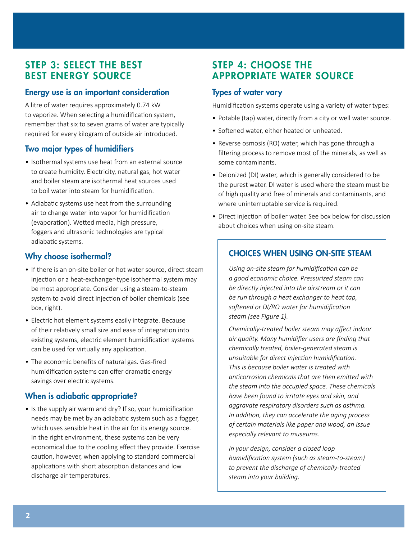# STEP 3: SELECT THE BEST BEST ENERGY SOURCE

#### Energy use is an important consideration

A litre of water requires approximately 0.74 kW to vaporize. When selecting a humidification system, remember that six to seven grams of water are typically required for every kilogram of outside air introduced.

## Two major types of humidifiers

- Isothermal systems use heat from an external source to create humidity. Electricity, natural gas, hot water and boiler steam are isothermal heat sources used to boil water into steam for humidification.
- Adiabatic systems use heat from the surrounding air to change water into vapor for humidification (evaporation). Wetted media, high pressure, foggers and ultrasonic technologies are typical adiabatic systems.

#### Why choose isothermal?

- If there is an on-site boiler or hot water source, direct steam injection or a heat-exchanger-type isothermal system may be most appropriate. Consider using a steam-to-steam system to avoid direct injection of boiler chemicals (see box, right).
- Electric hot element systems easily integrate. Because of their relatively small size and ease of integration into existing systems, electric element humidification systems can be used for virtually any application.
- The economic benefits of natural gas. Gas-fired humidification systems can offer dramatic energy savings over electric systems.

#### When is adiabatic appropriate?

• Is the supply air warm and dry? If so, your humidification needs may be met by an adiabatic system such as a fogger, which uses sensible heat in the air for its energy source. In the right environment, these systems can be very economical due to the cooling effect they provide. Exercise caution, however, when applying to standard commercial applications with short absorption distances and low discharge air temperatures.

# STEP 4: CHOOSE THE APPROPRIATE WATER SOURCE

#### Types of water vary

Humidification systems operate using a variety of water types:

- Potable (tap) water, directly from a city or well water source.
- Softened water, either heated or unheated.
- Reverse osmosis (RO) water, which has gone through a filtering process to remove most of the minerals, as well as some contaminants.
- Deionized (DI) water, which is generally considered to be the purest water. DI water is used where the steam must be of high quality and free of minerals and contaminants, and where uninterruptable service is required.
- Direct injection of boiler water. See box below for discussion about choices when using on-site steam.

#### CHOICES WHEN USING ON-SITE STEAM

*Using on-site steam for humidification can be a good economic choice. Pressurized steam can be directly injected into the airstream or it can be run through a heat exchanger to heat tap, softened or DI/RO water for humidification steam (see Figure 1).*

*Chemically-treated boiler steam may affect indoor air quality. Many humidifier users are finding that chemically treated, boiler-generated steam is unsuitable for direct injection humidification. This is because boiler water is treated with anticorrosion chemicals that are then emitted with the steam into the occupied space. These chemicals have been found to irritate eyes and skin, and aggravate respiratory disorders such as asthma. In addition, they can accelerate the aging process of certain materials like paper and wood, an issue especially relevant to museums.*

*In your design, consider a closed loop humidification system (such as steam-to-steam) to prevent the discharge of chemically-treated steam into your building.*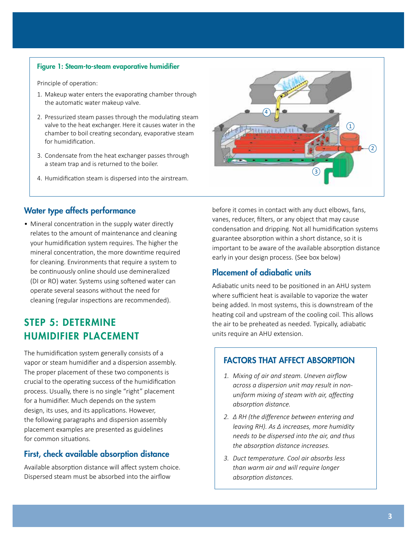#### Figure 1: Steam-to-steam evaporative humidifier

Principle of operation:

- 1. Makeup water enters the evaporating chamber through the automatic water makeup valve.
- 2. Pressurized steam passes through the modulating steam valve to the heat exchanger. Here it causes water in the chamber to boil creating secondary, evaporative steam for humidification.
- 3. Condensate from the heat exchanger passes through a steam trap and is returned to the boiler.
- 4. Humidification steam is dispersed into the airstream.



#### Water type affects performance

• Mineral concentration in the supply water directly relates to the amount of maintenance and cleaning your humidification system requires. The higher the mineral concentration, the more downtime required for cleaning. Environments that require a system to be continuously online should use demineralized (DI or RO) water. Systems using softened water can operate several seasons without the need for cleaning (regular inspections are recommended).

# STEP 5: DETERMINE HUMIDIFIER PLACEMENT

The humidification system generally consists of a vapor or steam humidifier and a dispersion assembly. The proper placement of these two components is crucial to the operating success of the humidification process. Usually, there is no single "right" placement for a humidifier. Much depends on the system design, its uses, and its applications. However, the following paragraphs and dispersion assembly placement examples are presented as guidelines for common situations.

#### First, check available absorption distance

Available absorption distance will affect system choice. Dispersed steam must be absorbed into the airflow

before it comes in contact with any duct elbows, fans, vanes, reducer, filters, or any object that may cause condensation and dripping. Not all humidification systems guarantee absorption within a short distance, so it is important to be aware of the available absorption distance early in your design process. (See box below)

#### Placement of adiabatic units

Adiabatic units need to be positioned in an AHU system where sufficient heat is available to vaporize the water being added. In most systems, this is downstream of the heating coil and upstream of the cooling coil. This allows the air to be preheated as needed. Typically, adiabatic units require an AHU extension.

#### FACTORS THAT AFFECT ABSORPTION

- *1. Mixing of air and steam. Uneven airflow across a dispersion unit may result in nonuniform mixing of steam with air, affecting absorption distance.*
- *2. ∆ RH (the difference between entering and leaving RH). As ∆ increases, more humidity needs to be dispersed into the air, and thus the absorption distance increases.*
- *3. Duct temperature. Cool air absorbs less than warm air and will require longer absorption distances.*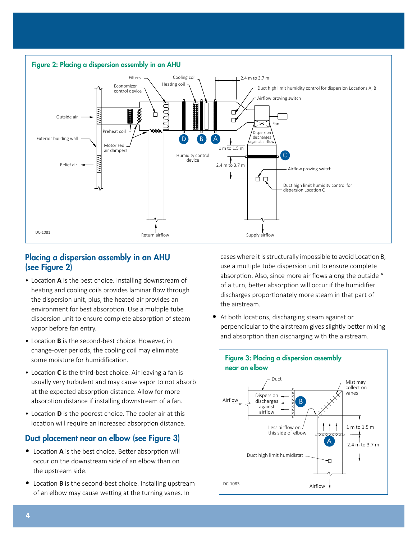

#### Placing a dispersion assembly in an AHU (see Figure 2)

- Location **A** is the best choice. Installing downstream of heating and cooling coils provides laminar flow through the dispersion unit, plus, the heated air provides an environment for best absorption. Use a multiple tube dispersion unit to ensure complete absorption of steam vapor before fan entry.
- Location **B** is the second-best choice. However, in change-over periods, the cooling coil may eliminate some moisture for humidification.
- Location **C** is the third-best choice. Air leaving a fan is usually very turbulent and may cause vapor to not absorb at the expected absorption distance. Allow for more absorption distance if installing downstream of a fan.
- Location **D** is the poorest choice. The cooler air at this location will require an increased absorption distance.

## Duct placement near an elbow (see Figure 3)

- Location **A** is the best choice. Better absorption will occur on the downstream side of an elbow than on the upstream side.
- Location **B** is the second-best choice. Installing upstream of an elbow may cause wetting at the turning vanes. In

cases where it is structurally impossible to avoid Location B, use a multiple tube dispersion unit to ensure complete absorption. Also, since more air flows along the outside " of a turn, better absorption will occur if the humidifier discharges proportionately more steam in that part of the airstream.

• At both locations, discharging steam against or perpendicular to the airstream gives slightly better mixing and absorption than discharging with the airstream.

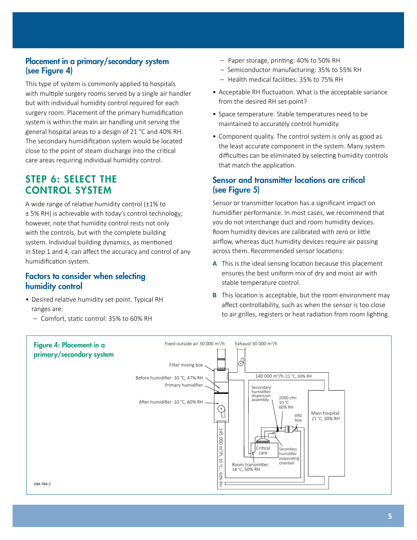#### Placement in a primary/secondary system (see Figure 4)

This type of system is commonly applied to hospitals with multiple surgery rooms served by a single air handler but with individual humidity control required for each surgery room. Placement of the primary humidification system is within the main air handling unit serving the general hospital areas to a design of 21 °C and 40% RH. The secondary humidification system would be located close to the point of steam discharge into the critical care areas requiring individual humidity control.

# STEP 6: SELECT THE CONTROL SYSTEM

A wide range of relative humidity control (±1% to ± 5% RH) is achievable with today's control technology; however, note that humidity control rests not only with the controls, but with the complete building system. Individual building dynamics, as mentioned in Step 1 and 4, can affect the accuracy and control of any humidification system.

#### Factors to consider when selecting humidity control

- Desired relative humidity set-point. Typical RH ranges are:
	- Comfort, static control: 35% to 60% RH
- Paper storage, printing: 40% to 50% RH
- Semiconductor manufacturing: 35% to 55% RH
- Health medical facilities: 35% to 75% RH
- Acceptable RH fluctuation. What is the acceptable variance from the desired RH set-point?
- Space temperature. Stable temperatures need to be maintained to accurately control humidity.
- Component quality. The control system is only as good as the least accurate component in the system. Many system difficulties can be eliminated by selecting humidity controls that match the application.

#### Sensor and transmitter locations are critical (see Figure 5)

Sensor or transmitter location has a significant impact on humidifier performance. In most cases, we recommend that you do not interchange duct and room humidity devices. Room humidity devices are calibrated with zero or little airflow, whereas duct humidity devices require air passing across them. Recommended sensor locations:

- **A** This is the ideal sensing location because this placement ensures the best uniform mix of dry and moist air with stable temperature control.
- **B** This location is acceptable, but the room environment may affect controllability, such as when the sensor is too close to air grilles, registers or heat radiation from room lighting.

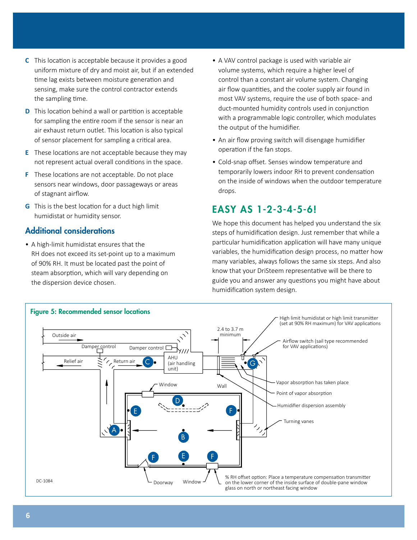- **C** This location is acceptable because it provides a good uniform mixture of dry and moist air, but if an extended time lag exists between moisture generation and sensing, make sure the control contractor extends the sampling time.
- **D** This location behind a wall or partition is acceptable for sampling the entire room if the sensor is near an air exhaust return outlet. This location is also typical of sensor placement for sampling a critical area.
- **E** These locations are not acceptable because they may not represent actual overall conditions in the space.
- **F** These locations are not acceptable. Do not place sensors near windows, door passageways or areas of stagnant airflow.
- **G** This is the best location for a duct high limit humidistat or humidity sensor.

#### Additional considerations

• A high-limit humidistat ensures that the RH does not exceed its set-point up to a maximum of 90% RH. It must be located past the point of steam absorption, which will vary depending on the dispersion device chosen.

- A VAV control package is used with variable air volume systems, which require a higher level of control than a constant air volume system. Changing air flow quantities, and the cooler supply air found in most VAV systems, require the use of both space- and duct-mounted humidity controls used in conjunction with a programmable logic controller, which modulates the output of the humidifier.
- An air flow proving switch will disengage humidifier operation if the fan stops.
- Cold-snap offset. Senses window temperature and temporarily lowers indoor RH to prevent condensation on the inside of windows when the outdoor temperature drops.

# EASY AS 1-2-3-4-5-6!

We hope this document has helped you understand the six steps of humidification design. Just remember that while a particular humidification application will have many unique variables, the humidification design process, no matter how many variables, always follows the same six steps. And also know that your DriSteem representative will be there to guide you and answer any questions you might have about humidification system design.

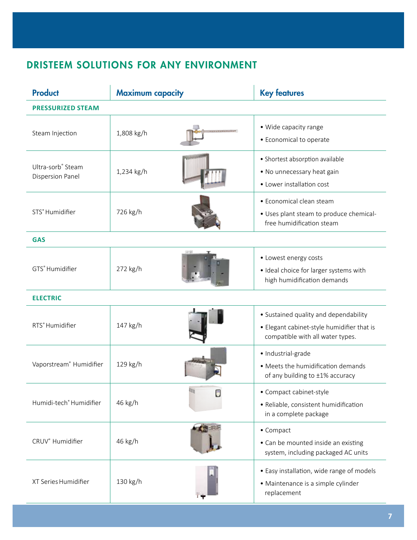# DRISTEEM SOLUTIONS FOR ANY ENVIRONMENT

| <b>Product</b>                        | <b>Maximum capacity</b>         | <b>Key features</b>                                                                                                     |
|---------------------------------------|---------------------------------|-------------------------------------------------------------------------------------------------------------------------|
| <b>PRESSURIZED STEAM</b>              |                                 |                                                                                                                         |
| Steam Injection                       | 1,808 kg/h                      | • Wide capacity range<br>• Economical to operate                                                                        |
| Ultra-sorb® Steam<br>Dispersion Panel | <b>POLITICIAL</b><br>1,234 kg/h | • Shortest absorption available<br>• No unnecessary heat gain<br>• Lower installation cost                              |
| STS <sup>®</sup> Humidifier           | 726 kg/h                        | • Economical clean steam<br>• Uses plant steam to produce chemical-<br>free humidification steam                        |
| <b>GAS</b>                            |                                 |                                                                                                                         |
| GTS <sup>®</sup> Humidifier           | 272 kg/h                        | • Lowest energy costs<br>· Ideal choice for larger systems with<br>high humidification demands                          |
| <b>ELECTRIC</b>                       |                                 |                                                                                                                         |
| RTS <sup>®</sup> Humidifier           | 147 kg/h                        | • Sustained quality and dependability<br>• Elegant cabinet-style humidifier that is<br>compatible with all water types. |
| Vaporstream <sup>®</sup> Humidifier   | 129 kg/h                        | · Industrial-grade<br>• Meets the humidification demands<br>of any building to ±1% accuracy                             |
| Humidi-tech® Humidifier               | 46 kg/h                         | • Compact cabinet-style<br>· Reliable, consistent humidification<br>in a complete package                               |
| CRUV <sup>®</sup> Humidifier          | 46 kg/h                         | • Compact<br>• Can be mounted inside an existing<br>system, including packaged AC units                                 |
| XT Series Humidifier                  | 130 kg/h                        | • Easy installation, wide range of models<br>• Maintenance is a simple cylinder<br>replacement                          |